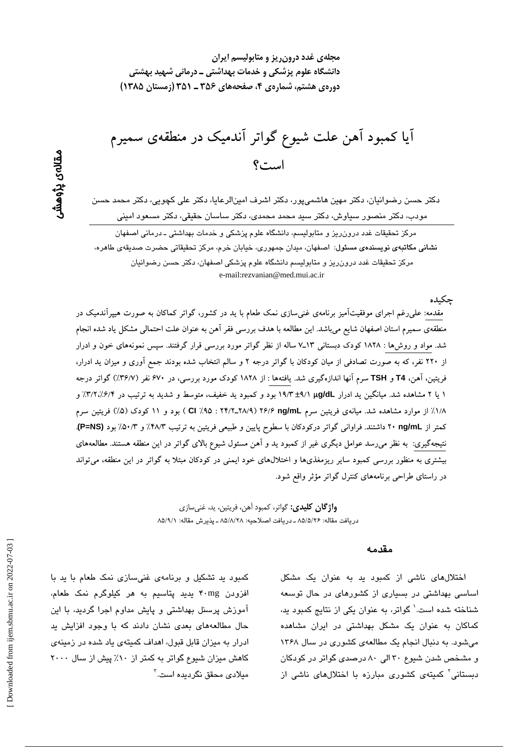آیا کمبود آهن علت شیوع گواتر آندمیک در منطقهی سمیرم است؟

دکتر حسن رضوانیان، دکتر مهین هاشمیپور، دکتر اشرف امینالرعایا، دکتر علی کچویی، دکتر محمد حسن مودب، دکتر منصور سیاوش، دکتر سبد محمد محمدی، دکتر ساسان حقیقی، دکتر مسعود امینی

مرکز تحقیقات غدد درون٫ریز و متابولیسم، دانشگاه علوم پزشکی و خدمات بهداشتی ـ درمانی اصفهان نشانی مکاتبهی نویسندهی مسئول: اصفهان، میدان جمهوری، خیابان خرم، مرکز تحقیقاتی حضرت صدیقهی طاهره، مرکز تحقیقات غدد درون ریز و متابولیسم دانشگاه علوم پزشکی اصفهان، دکتر حسن رضوانیان e-mail:rezvanian@med.mui.ac.ir

حكىدە مقدمه: علی(غم اجرای موفقیتآمیز برنامهی غنیسازی نمک طعام با ید در کشور، گواتر کماکان به صورت هیپرآندمیک در منطقهی سمیرم استان اصفهان شایع میباشد. این مطالعه با هدف بررسی فقر آهن به عنوان علت احتمالی مشکل یاد شده انجام شد. مواد و روش۵ا : ۱۸۲۸ کودک دبستانی ۱۳ـ۷ساله از نظر گواتر مورد بررسی قرار گرفتند. سپس نمونههای خون و ادرار از ۲۲۰ نفر، که به صورت تصادفی از میان کودکان با گواتر درجه ۲ و سالم انتخاب شده بودند جمع اَوری و میزان ید ادرار، فریتین، آهن، T4 و TSH سرم آنها اندازهگیری شد. یافتهها : از ۱۸۲۸ کودک مورد بررسی، در ۶۷۰ نفر (۳۶/۷٪) گواتر درجه ۱ یا ۲ مشاهده شد. میانگین ید ادرار µg/dL (//t4 بود و کمبود ید خفیف، متوسط و شدید به ترتیب در ۳/۲/۲/۲/٪ و ۱/۸٪ از موارد مشاهده شد. میانهی فریتین سرم ۲۶/۶ ng/mL (۲۴/۲\_۲۸/۹ : ۲۴/۲ ) بود و ۱۱ کودک (۵٪) فریتین سرم کمتر از ng/mL ۲۰ داشتند. فراوانی گواتر درکودکان با سطوح پایین و طبیعی فریتین به ترتیب ۴۸/۳٪ و ۵۰/۳٪ بود (P=NS). نتیجهگیری: به نظر میرسد عوامل دیگری غیر از کمبود ید و آهن مسئول شیوع بالای گواتر در این منطقه هستند. مطالعههای بیشتری به منظور بررسی کمبود سایر ریزمغذیها و اختلالهای خود ایمنی در کودکان مبتلا به گواتر در این منطقه، میتواند در راستای طراحی برنامههای کنترل گواتر مؤثر واقع شود.

> **واژ گان کلیدی:** گواتر، کمبود آهن، فریتین، ید، غنی سازی دريافت مقاله: ۸۵/۵/۲۶ ـ دريافت اصلاحيه: ۸۵/۸/۲۸ ـ يذيرش مقاله: ۸۵/۹/۱

#### مقدمه

اختلالهای ناشی از کمبود ید به عنوان یک مشکل اساسی بهداشتی در بسیاری از کشورهای در حال توسعه شناخته شده است.' گواتر، به عنوان یکی از نتایج کمبود به، کماکان به عنوان یک مشکل بهداشتی در ایران مشاهده میشود. به دنبال انجام یک مطالعهی کشوری در سال ۱۳۶۸ و مشخص شدن شیوع ۳۰ الی ۸۰ درصدی گواتر در کودکان دستانی<sup>٬</sup> کمیتهی کشوری مبارزه با اختلالهای ناش*ی* از

مقالەي پڑوھشر

کمبود ید تشکیل و برنامهی غنی سازی نمک طعام با ید با افزودن ۴۰mg پدید پتاسیم به هر کیلوگرم نمک طعام، آموزش پرسنل بهداشتی و پایش مداوم اجرا گردید، با این حال مطالعههای بعدی نشان دادند که با وجود افزایش ید ادرار به میزان قابل قبول، اهداف کمیتهی یاد شده در زمینهی کاهش میزان شیوع گواتر به کمتر از ۱۰٪ پیش از سال ۲۰۰۰ مىلا*دى* محقق نگردىدە است.<sup>۳</sup>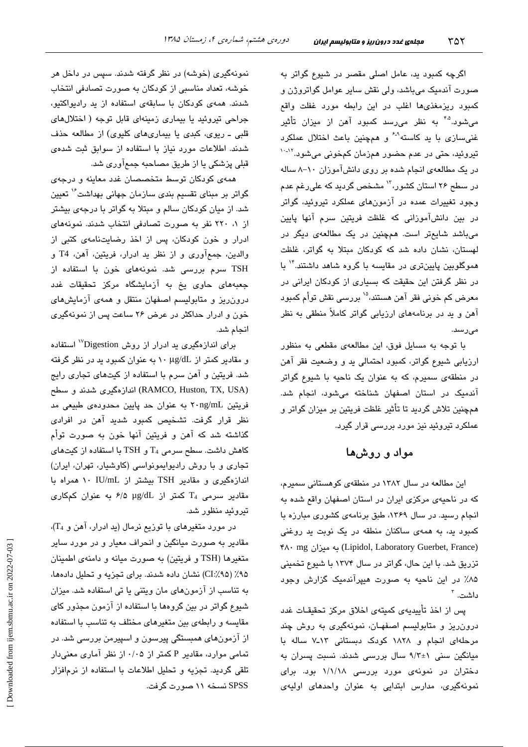اگرچه کمبود بد، عامل اصلی مقصر در شیوع گواتر به صورت آندمیک میباشد، ولی نقش سایر عوامل گواتروژن و کمبود ریزمغذیها اغلب در این رابطه مورد غفلت واقع می شود.<sup>۴،۵</sup> به نظر می<sub>ا</sub>رسد کمبود آهن از میزان تأثیر غنی سازی با ید کاسته<sup>۹-۶</sup> و همچنین باعث اختلال عملکرد تیروئید، حتی در عدم حضور همزمان کمخونی میشود.<sup>۱۲-۱۰</sup> در یک مطالعهی انجام شده بر روی دانشآموزان ١٠-٨ ساله در سطح ۲۶ استان کشور،<sup>۱۲</sup> مشخص گردید که علی٫غم ع*د*م وجود تغییرات عمده در آزمونهای عملکرد تیروئید، گواتر در بین دانشآموزانی که غلظت فریتین سرم آنها پایین میباشد شایعتر است. همچنین در یک مطالعهی دیگر در لهستان، نشان داده شد که کودکان مبتلا به گواتر، غلظت هموگلوبین پایینتری در مقایسه با گروه شاهد داشتند." با در نظر گرفتن این حقیقت که بسیاری از کودکان ایرانی در معرض کم خونی فقر آهن هستند،<sup>۱۵</sup> بررسی نقش توأم کمبود آهن و ید در برنامههای ارزیابی گواتر کاملاً منطقی به نظر مے از سندا

با توجه به مسایل فوق، این مطالعهی مقطعی به منظور ارزیابی شیوع گواتر، کمبود احتمالی ید و وضعیت فقر آهن در منطقهی سمیرم، که به عنوان یک ناحیه با شیوع گواتر آندمیک در استان اصفهان شناخته می شود، انجام شد. همچنین تلاش گردید تا تأثیر غلظت فریتین بر میزان گواتر و عملکرد تیروئید نیز مورد بررسی قرار گیرد.

## مواد و روشها

این مطالعه در سال ۱۳۸۲ در منطقهی کوهستانی سمیرم، كه در ناحیهی مركزی ایران در استان اصفهان واقع شده به انجام رسید. در سال ۱۳۶۹، طبق برنامهی کشوری مبارزه با کمبود ید، به همهی ساکنان منطقه در یک نوبت ید روغنی (Lipidol, Laboratory Guerbet, France) به میزان (Lipidol, Laboratory Guerbet, France تزریق شد. با این حال، گواتر در سال ۱۳۷۴ با شیوع تخمینی ۸۵٪ در این ناحیه به صورت هیپرآندمیک گزارش وجود داشت. <sup>۳</sup>

پس از اخذ تأییدیهی کمیتهی اخلاق مرکز تحقیقـات غدد درون ریز و متابولیسم اصفهان، نمونهگیری به روش چند مرحلهای انجام و ۱۸۲۸ کودک دبستانی ۱۳ـ۷ ساله با میانگین سنی ۱+۹/۳ سال بررسی شدند. نسبت پسران به دختران در نمونهی مورد بررسی ۱/۱/۱۸ بود. برای نمونهگیری، مدارس ابتدایی به عنوان واحدهای اولیهی

نمونهگیری (خوشه) در نظر گرفته شدند. سپس در داخل هر خوشه، تعداد مناسبی از کودکان به صورت تصادفی انتخاب شدند. همهی کودکان با سابقهی استفاده از ید رادیواکتیو، جراحی تیروئید یا بیماری زمینهای قابل توجه ( اختلالهای قلبی ـ ریوی، کبدی یا بیماریهای کلیوی) از مطالعه حذف شدند. اطلاعات مورد نیاز با استفاده از سوابق ثبت شدهی قبلی پزشکی یا از طریق مصاحبه جمعآوری شد.

همهی کودکان توسط متخصصان غدد معاینه و درجهی گواتر بر مبنای تقسیم بندی سازمان جهانی بهداشت<sup>۱٬</sup> تعیین شد. از میان کودکان سالم و مبتلا به گواتر با درجهی بیشتر از ۱، ۲۲۰ نفر به صورت تصادفی انتخاب شدند. نمونههای ادرار و خون کودکان، پس از اخذ رضایتنامهی کتبی از والدين، جمع آوري و از نظر يد ادرار، فريتين، آهن، T4 و .<br>TSH سرم بررسی شد. نمونههای خون با استفاده از جعبههای حاوی یخ به آزمایشگاه مرکز تحقیقات غدد درون ریز و متابولیسم اصفهان منتقل و همهی آزمایشهای خون و ادرار حداکثر در عرض ۲۶ ساعت پس از نمونهگیری انجام شد.

برای اندازهگیری بد ادرار از روش Digestion'' استفاده و مقادیر کمتر از ۱۰ µg/dL به عنوان کمبود ید در نظر گرفته شد. فریتین و آهن سرم با استفاده از کیتهای تجاری رایج (RAMCO, Huston, TX, USA) اندازهگیری شدند و سطح فریتین ۲۰ng/mL به عنوان حد پایین محدودهی طبیعی مد نظر قرار گرفت. تشخیص کمبود شدید آهن در افرا*دی* گذاشته شد که آهن و فریتین آنها خون به صورت توأم کاهش داشت. سطح سرمی  $T_4$  و TSH با استفاده از کیتهای تجاری و با روش رادیوایمونواسی (کاوشیار، تهران، ایران) اندازهگیری و مقادیر TSH بیشتر از IU/mL ۱۰ همراه با مقادیر سرمی T4 کمتر از p/۵ µg/dL به عنوان کمکاری تىروئىد منظور شد.

در مورد متغیرهای با توزیع نرمال (ید ادرار، آهن و T<sub>4</sub>)، مقادیر به صورت میانگین و انحراف معیار و در مورد سایر متغیرها (TSH و فریتین) به صورت میانه و دامنهی اطمینان ۹۵٪ (CI:⁄۹۵) نشان داده شدند. برای تجزیه و تحلیل دادهها، به تناسب از آزمونهای مان ویتنی یا تی استفاده شد. میزان شیوع گواتر در بین گروهها با استفاده از آزمون مجذور کای مقایسه و رابطهی بین متغیرهای مختلف به تناسب با استفاده از آزمونهای همبستگی پیرسون و اسپیرمن بررسی شد. در تمامی موارد، مقادیر P کمتر از ۰/۰۵ از نظر آماری معنیدار تلقی گردید. تجزیه و تحلیل اطلاعات با استفاده از نرمافزار SPSS نسخه ۱۱ صورت گرفت.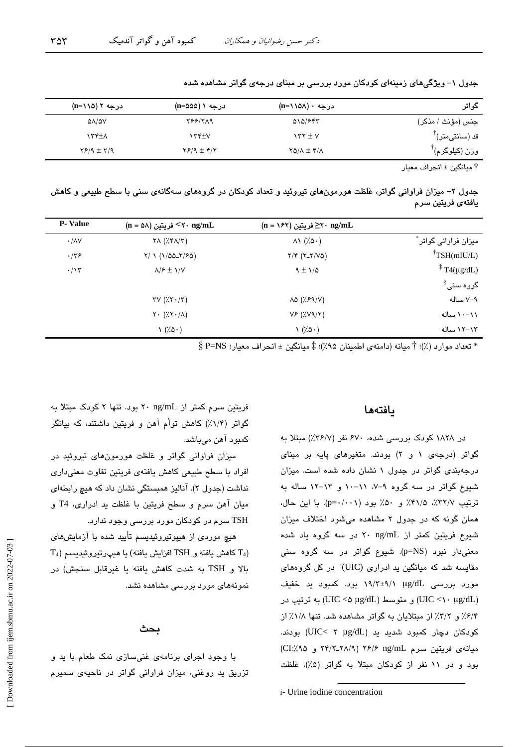| گواتر                         | درجه ۰ (۱۱۵۸–n)                  | درجه ۱ (n=۵۵۵)               | درجه ۲ (۱۱۵–n)              |
|-------------------------------|----------------------------------|------------------------------|-----------------------------|
| جنس (مؤنث / مذكر)             | 010/FFT                          | <b>788/719</b>               | $\Delta \Lambda / \Delta V$ |
| قد (سانتیمتر) ً               | $\gamma$ $\gamma$ $\pm$ $\gamma$ | ۱۳۴±۷                        | ۱۳۴±۸                       |
| $^{\mathsf{T}}$ وزن (کیلوگرم) | $YQ/\Lambda \pm Y/\Lambda$       | $Y$ $/$ $($ $\pm$ $\sqrt{Y}$ | $Y$ $/9$ $\pm$ $Y$ $/9$     |
|                               |                                  |                              |                             |

جدول ۱– ویژگیهای زمینهای کودکان مورد بررسی بر مبنای درجهی گواتر مشاهده شده

† مبانگین ± انجر اف معبار

جدول ۲– میزان فراوانی گواتر، غلظت هورمونهای تیروئید و تعداد کودکان در گروههای سهگانهی سنی با سطح طبیعی و کاهش يافتەي فريتين سرم

| <b>P</b> - Value  | $(n = \Delta \lambda)$ فریتین <۲۰ ng/mL                    | $(n = \sqrt{2\pi})$ فریتین $\geq$ ۲۰ ng/mL |                               |
|-------------------|------------------------------------------------------------|--------------------------------------------|-------------------------------|
| $\cdot/\lambda V$ | $\forall \Lambda$ ( $\forall$ $\forall \Lambda/\Upsilon$ ) | $\wedge\wedge$ (% $\circ\cdot$ )           | میزان فراوانی گواتر آ         |
| $\cdot$ /٣۶       | $Y/ \setminus (1/\Delta \Delta Y/F\Delta)$                 | $Y/Y (Y-Y/V\omega)$                        | $\mathrm{TSH}(mIU/L)$         |
| $\cdot/\gamma$    | $\lambda$ / $\epsilon \pm \lambda$ / $\lambda$             | $9 \pm 1/2$                                | $\frac{1}{4}$ T4(µg/dL)       |
|                   |                                                            |                                            | گروہ سن <i>ی</i> <sup>§</sup> |
|                   | $\tau v$ ( $\lambda \tau \cdot \Delta \tau$ )              | $\lambda \Delta$ (% $59/$ V)               | ۷–۷ ساله                      |
|                   | $Y \cdot (\frac{1}{2}Y \cdot \frac{1}{2})$                 | VF(Y'VY Y)                                 | ۰۰-۱۱ ساله                    |
|                   | $\left(\frac{7}{9}\right)$                                 | $\left(\frac{7}{9}\right)$                 | ۱۲–۱۲ ساله                    |

 $\S$  تعداد موارد (٪)؛ † ميانه (دامنهي اطمينان ٩۵٪)؛ ‡ ميانگين ± انحراف معيار؛  $\Sigma$ =NS  $*$ 

### بافتهها

در ۱۸۲۸ کودک بررسی شده، ۶۷۰ نفر (۳۶/۷٪) مبتلا به گواتر (درجهی ۱ و ۲) بودند. متغیرهای پایه بر مبنای درجهبندی گواتر در جدول ۱ نشان داده شده است. میزان شیوع گواتر در سه گروه ۹-۷، ۱۱-۱۰ و ۱۳-۱۲ ساله به ترتيب ٣٢/٧٪، ٣١/٥٪ و ۵٠٪ بود (p=٠/٠٠١). با اين حال، همان گونه که در جدول ۲ مشاهده می شود اختلاف میزان شیوع فریتین کمتر از ۲۰ ng/mL در سه گروه یاد شده معنی دار نبود (p=NS). شیوع گواتر در سه گروه سنی مقایسه شد که میانگین ید ادراری (UIC)<sup>:</sup> در کل گروههای مورد بررسی ug/dL (۱۹/۳±۹/۱ بود. کمبود ید خفیف و متوسط (UIC <۵ µg/dL) به ترتيب در (UIC <۵ µg/dL) ۶/۴٪ و ۳/۲٪ از مبتلایان به گواتر مشاهده شد. تنها ۱/۸٪ از کودکان دچار کمبود شدید ید (UIC< ۲ µg/dL) بودند. ميانه ي فريتين سرم ٢۶/٢ ٢/١/٩ ٢۶/٢ و CI:/٩٥ و CI:/٩٥ بود و در ١١ نفر از كودكان مبتلا به گواتر (۵٪)، غلظت

فریتین سرم کمتر از r ng/mL بود. تنها ۲ کودک مبتلا به گواتر (۱/۴٪) کاهش توأم آهن و فریتین داشتند، که بیانگر کمبود آهن میباشد.

میزان فراوانی گواتر و غلظت هورمونهای تیروئید در افراد با سطح طبیعی کاهش یافتهی فریتین تفاوت معنیداری نداشت (جدول ۲). آنالیز همبستگی نشان داد که هیچ رابطهای ميان آهن سرم و سطح فريتين با غلظت يد ادراري، T4 و TSH سرم در کودکان مورد بررسی وجود ندارد.

هیچ موردی از هیپوتیروئیدیسم تأیید شده با آزمایشهای  $T_4$ ) كاهش يافته و  $TSH$  افزايش يافته) يا هيپرتيروئيديسم  $T_4$ بالا و TSH به شدت كاهش يافته يا غيرقابل سنجش) در نمونههای مورد بررسی مشاهده نشد.

### ىحث

با وجود اجرای برنامهی غنیسازی نمک طعام با ید و تزریق ید روغنی، میزان فراوانی گواتر در ناحیهی سمیرم

i- Urine iodine concentration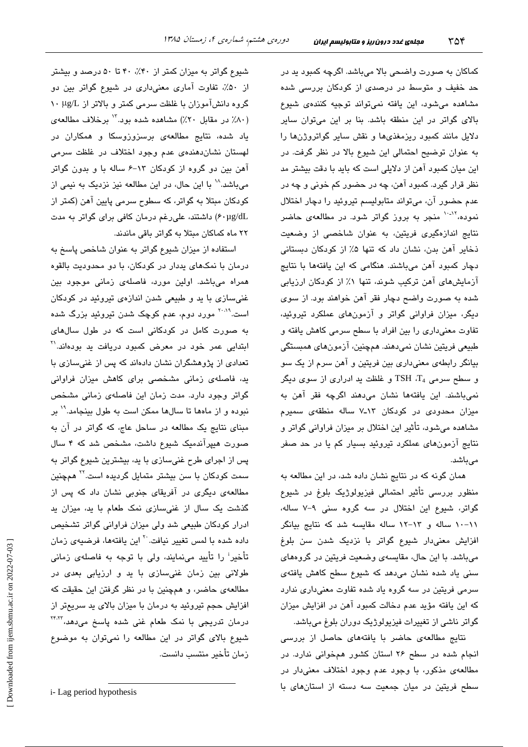کماکان به صورت واضحی بالا میباشد. اگرچه کمبود پد در حد خفیف و متوسط در درصدی از کودکان بررسی شده مشاهده میشود، این یافته نمیتواند توجیه کنندهی شیوع بالای گواتر در این منطقه باشد. بنا بر این میتوان سایر دلایل مانند کمبود ریزمغذیها و نقش سایر گواتروژنها را به عنوان توضيح احتمالي اين شيوع بالا در نظر گرفت. در این میان کمبود آهن از دلایلی است که باید با دقت بیشتر مد نظر قرار گیرد. کمبود آهن، چه در حضور کم خونی و چه در عدم حضور آن، ميتواند متابوليسم تيروئيد را دچار اختلال نمو ده،<sup>۱۰-۱۲</sup> منجر به بروز گواتر شود. در مطالعهی حاضر نتایج اندازهگیری فریتین، به عنوان شاخصی از وضعیت ذخایر آهن بدن، نشان داد که تنها ۵٪ از کودکان دبستانی دچار کمبود آهن میباشند. هنگامی که این یافتهها با نتایج آزمایشهای آهن ترکیب شوند، تنها ۱٪ از کودکان ارزیابی شده به صورت واضح دچار فقر آهن خواهند بود. از سوی دیگر، میزان فراوانی گواتر و آزمونهای عملکرد تیروئید، تفاوت معنی،داری را بین افراد با سطح سرمی کاهش یافته و طبیعی فریتین نشان نمیدهند. همچنین، آزمونهای همبستگی بیانگر رابطهی معنیداری بین فریتین و آهن سرم از یک سو و سطح سرمی TSH ،T4 و غلظت ید ادراری از سوی دیگر نمیباشند. این یافتهها نشان میدهند اگرچه فقر آهن به میزان محدودی در کودکان ۱۳ـ۷ ساله منطقهی سمیرم مشاهده میشود، تأثیر این اختلال بر میزان فراوانی گواتر و نتایج آزمونهای عملکرد تیروئید بسیار کم یا در حد صفر مے باشد.

همان گونه که در نتایج نشان داده شد، در این مطالعه به منظور بررسی تأثیر احتمالی فیزیولوژیک بلوغ در شیوع گواتر، شیوع این اختلال در سه گروه سنی ۹–۷ ساله، ١١-١٠ ساله و ١٣-١٢ ساله مقايسه شد كه نتايج بيانكر افزایش معنیدار شیوع گواتر با نزدیک شدن سن بلوغ میباشد. با این حال، مقایسهی وضعیت فریتین در گروههای سنی یاد شده نشان میدهد که شیوع سطح کاهش یافتهی سرمی فریتین در سه گروه یاد شده تفاوت معنیداری ندارد که این یافته مؤید عدم دخالت کمبود آهن در افزایش میزان گواتر ناشی از تغییرات فیزیولوژیک دوران بلوغ میباشد.

نتایج مطالعهی حاضر با یافتههای حاصل از بررسی انجام شده در سطح ۲۶ استان کشور همخوانی ندارد. در مطالعهى مذكور، با وجود عدم وجود اختلاف معنىدار در سطح فریتین در میان جمعیت سه دسته از استانهای با

شیوع گواتر به میزان کمتر از ۴۰٪، ۴۰ تا ۵۰ درصد و بیشتر از ۵۰٪، تفاوت آماری معنیداری در شیوع گواتر بین دو گروه دانشآموزان با غلظت سرمی کمتر و بالاتر از µg/L ۱۰ (٨٠٪ در مقابل ٢٠٪) مشاهده شده بود. " برخلاف مطالعهى یاد شده، نتایج مطالعهی برسزوزوسکا و همکاران در لهستان نشان دهندهی عدم وجود اختلاف در غلظت سرمی آهن بین دو گروه از کودکان ١٣-۶ ساله با و بدون گواتر میباشد.^` با این حال، در این مطالعه نیز نزدیک به نیمی از کودکان مبتلا به گواتر، که سطوح سرمی پایین آهن (کمتر از ۶۰µg/dL) داشتند، علیرغم درمان کافی برای گواتر به مدت ۲۲ ماه کماکان مبتلا به گواتر باقی ماندند.

استفاده از میزان شیوع گواتر به عنوان شاخص پاسخ به درمان با نمکهای پددار در کودکان، با دو محدودیت بالقوه همراه میباشد. اولین مورد، فاصلهی زمانی موجود بین غنیسازی با ید و طبیعی شدن اندازهی تیروئید در کودکان است.<sup>۲۰۰۹</sup> مورد دوم، عدم کوچک شدن تیروئید بزرگ شده به صورت کامل در کودکانی است که در طول سالهای ابتدایی عمر خود در معرض کمبود دریافت ید بودهاند.'' تعدادی از پژوهشگران نشان دادهاند که پس از غنیسازی با ید، فاصلهی زمانی مشخصی برای کاهش میزان فراوانی گواتر وجود دارد. مدت زمان این فاصلهی زمانی مشخص نبوده و از ماهها تا سالها ممکن است به طول بینجامد.<sup>۱۹</sup> بر مبنای نتایج یک مطالعه در ساحل عاج، که گواتر در آن به صورت هیپرآندمیک شیوع داشت، مشخص شد که ۴ سال پس از اجرای طرح غنیسازی با ید، بیشترین شیوع گواتر به سمت کودکان با سن بیشتر متمایل گردیده است.<sup>۲۲</sup> همچنین مطالعهی دیگری در آفریقای جنوبی نشان داد که پس از گذشت یک سال از غنی سازی نمک طعام با ید، میزان ید ادرار کودکان طبیعی شد ولی میزان فراوانی گواتر تشخیص داده شده با لمس تغییر نیافت.<sup>۲۰</sup> این یافتهها، فرضیهی زمان تأخیر<sup>:</sup> را تأیید مینمایند، ولی با توجه به فاصلهی زمانی طولانی بین زمان غنیسازی با ید و ارزیابی بعدی در مطالعهى حاضر، و همچنین با در نظر گرفتن این حقیقت كه افزایش حجم تیروئید به درمان با میزان بالای ید سریعتر از درمان تدریجی با نمک طعام غنی شده پاسخ میدهد، <sup>۲۴٬۲۲</sup> شیوع بالای گواتر در این مطالعه را نمیتوان به موضوع زمان تأخير منتسب دانست.

*i*-Lag period hypothesis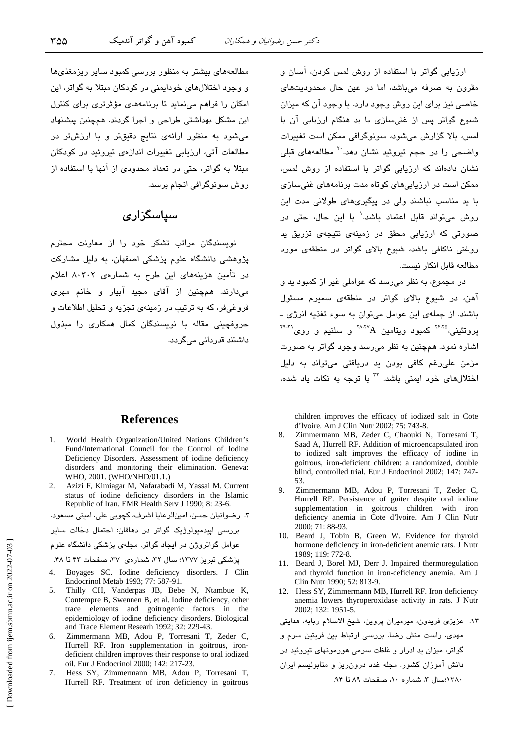ارزیابی گواتر با استفاده از روش لمس کردن، آسان و .<br>مقرون به صرفه میباشد، اما در عبن حال محدودستهای خاصی نیز برای این روش وجود دارد. با وجود آن که میزان شیوع گواتر پس از غنی سازی با ید هنگام ارزیابی آن با لمس، بالا گزارش مےشود، سوئوگرافی ممکن است تغییرات واضحی را در حجم تیروئید نشان دهد<sup>.۲۰</sup> مطالعههای قبلی نشان دادهاند که ارزیابی گواتر با استفاده از روش لمس، ممکن است در ارزیابی های کوتاه مدت برنامههای غنی سازی با ید مناسب نباشند ولی در پیگیریهای طولانی مدت این روش می تواند قابل اعتماد باشد. با این حال، حتی در صورتی که ارزیابی محقق در زمینهی نتیجهی تزریق ید روغنی ناکافی باشد، شیوع بالای گواتر در منطقهی مورد مطالعه قابل انكار نيست.

در مجموع، به نظر می رسد که عواملی غیر از کمبود ید و آهن، در شیوع بالای گواتر در منطقهی سمیرم مسئول باشند. از جملهی این عوامل میتوان به سوء تغذیه انرژی ـ  $\text{R}^{\text{YAPA}}$ یروتئینی، ۱٬۰۰۰٬ کمبورد ویتامین A $\text{A}^{\text{YAPA}}$ و سلنیم و روی اشاره نمود. همچنین به نظر میرسد وجود گواتر به صورت مزمن على رغم كافى بودن يد دريافتى مى تواند به دليل اختلالهای خود ایمنی باشد. <sup>۲۲</sup> با توجه به نکات یاد شده،

children improves the efficacy of iodized salt in Cote d'Ivoire. Am J Clin Nutr 2002; 75: 743-8.

- $\mathbf{R}$ Zimmermann MB, Zeder C, Chaouki N, Torresani T, Saad A, Hurrell RF. Addition of microencapsulated iron to iodized salt improves the efficacy of iodine in goitrous, iron-deficient children: a randomized, double blind, controlled trial. Eur J Endocrinol 2002; 147: 747-53.
- Zimmermann MB, Adou P, Torresani T, Zeder C, 9. Hurrell RF. Persistence of goiter despite oral iodine supplementation in goitrous children with iron deficiency anemia in Cote d'Ivoire. Am J Clin Nutr 2000; 71: 88-93.
- 10. Beard J, Tobin B, Green W. Evidence for thyroid hormone deficiency in iron-deficient anemic rats. J Nutr 1989; 119: 772-8.
- 11. Beard J, Borel MJ, Derr J. Impaired thermoregulation and thyroid function in iron-deficiency anemia. Am J Clin Nutr 1990; 52: 813-9.
- 12. Hess SY, Zimmermann MB, Hurrell RF. Iron deficiency anemia lowers thyroperoxidase activity in rats. J Nutr 2002; 132: 1951-5.

١٣. عزیزی فریدون، میرمیران پروین، شیخ الاسلام ربابه، هدایتی مهدی، راست منش رضا. بررسی ارتباط بین فریتین سرم و گواتر، میزان ید ادرار و غلظت سرمی هورمونهای تیروئید در

١٣٨٠:سال ٣، شماره ١٠، صفحات ٨٩ تا ٩۴.

مطالعههای بیشتر به منظور بررسی کمبود سایر ریزمغذیها و وجود اختلالهای خوداممنی در کودکان میتلا به گواتر، این امکان را فراهم مینماید تا برنامههای مؤثرتری برای کنترل این مشکل بهداشتی طراحی و اجرا گردند. همچنین پیشنهاد می شود به منظور ارائهی نتایج دقیقتر و با ارزشتر در مطالعات آتی، ارزیابی تغییرات اندازهی تیروئید در کودکان مبتلا به گواتر، حتی در تعداد محدودی از آنها با استفاده از روش سونوگرافی انجام برسد.

## سیاسگزاری

.<br>نویسندگان مراتب تشکر خود را از معاونت محترم .<br>پژوهشی دانشگاه علوم پزشکی اصفهان، به دلیل مشارکت در تأمین هزینههای این طرح به شمارهی ۸۰۳۰۲ اعلام می،دارند. همچنین از آقای مجید آبیار و خانم مهری فروغيفر، كه به ترتيب در زمينهي تجزيه و تحليل اطلاعات و حروفچینی مقاله با نویسندگان کمال همکاری را مبذول داشتند قدردانی میگردد.

### **References**

- 1. World Health Organization/United Nations Children's Fund/International Council for the Control of Iodine Deficiency Disorders. Assessment of iodine deficiency disorders and monitoring their elimination. Geneva: WHO, 2001. (WHO/NHD/01.1.)
- 2. Azizi F, Kimiagar M, Nafarabadi M, Yassai M. Current status of iodine deficiency disorders in the Islamic Republic of Iran. EMR Health Serv J 1990; 8: 23-6.

۳. رضوانیان حسن، امینالرعایا اشرف، کچوبی علی، امینی مسعود.

پررسے ابیدمیولوژیک گواتر ادر دھاقان: احتمال دخالت سایر

عوامل گواتروژن در ایجاد گواتر. مجلهی پزشکی دانشگاه علوم

یزشکی تبریز ۱۳۷۷؛ سال ۳۲، شمارهی ۳۷، صفحات ۴۳ تا ۴۸.

- Boyages SC. Iodine deficiency disorders. J Clin Endocrinol Metab 1993; 77: 587-91.
- 5. Thilly CH, Vanderpas JB, Bebe N, Ntambue K, Contempre B, Swennen B, et al. Iodine deficiency, other trace elements and goitrogenic factors in the epidemiology of iodine deficiency disorders. Biological and Trace Element Researh 1992; 32: 229-43.
- Zimmermann MB, Adou P, Torresani T, Zeder C, 6. Hurrell RF. Iron supplementation in goitrous, irondeficient children improves their response to oral iodized oil. Eur J Endocrinol 2000; 142: 217-23.
- 7. Hess SY, Zimmermann MB, Adou P, Torresani T, Hurrell RF. Treatment of iron deficiency in goitrous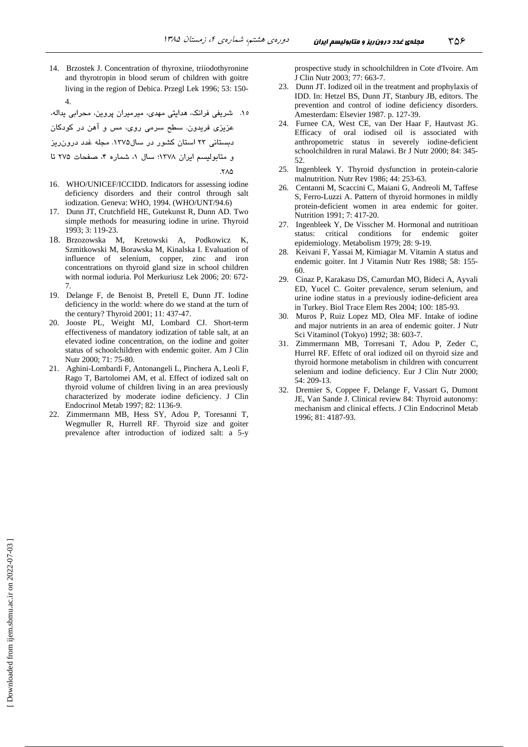14. Brzostek J. Concentration of thyroxine, triiodothyronine and thyrotropin in blood serum of children with goitre living in the region of Debica. Przegl Lek 1996; 53: 150- 4.

۱۵. شریفی فرانک، هدایتی مهدی، میرمیران پروین، محرابی یداله،

 - R - Z , 1- % XY% .-#
 F 13
3

دبستانی ۲۳ استان کشور در سال۱۳۷۵. مجله غدد درون ریز

و متابولیسم ایران ۱۳۷۸؛ سال ۱، شماره ۴، صفحات ۲۷۵ تا

.7۸۵

- 16. WHO/UNICEF/ICCIDD. Indicators for assessing iodine deficiency disorders and their control through salt iodization. Geneva: WHO, 1994. (WHO/UNT/94.6)
- 17. Dunn JT, Crutchfield HE, Gutekunst R, Dunn AD. Two simple methods for measuring iodine in urine. Thyroid 1993; 3: 119-23.
- 18. Brzozowska M, Kretowski A, Podkowicz K, Szmitkowski M, Borawska M, Kinalska I. Evaluation of influence of selenium, copper, zinc and iron concentrations on thyroid gland size in school children with normal ioduria. Pol Merkuriusz Lek 2006; 20: 672- 7.
- 19. Delange F, de Benoist B, Pretell E, Dunn JT. Iodine deficiency in the world: where do we stand at the turn of the century? Thyroid 2001; 11: 437-47.
- 20. Jooste PL, Weight MJ, Lombard CJ. Short-term effectiveness of mandatory iodization of table salt, at an elevated iodine concentration, on the iodine and goiter status of schoolchildren with endemic goiter. Am J Clin Nutr 2000; 71: 75-80.
- 21. Aghini-Lombardi F, Antonangeli L, Pinchera A, Leoli F, Rago T, Bartolomei AM, et al. Effect of iodized salt on thyroid volume of children living in an area previously characterized by moderate iodine deficiency. J Clin Endocrinol Metab 1997; 82: 1136-9.
- 22. Zimmermann MB, Hess SY, Adou P, Toresanni T, Wegmuller R, Hurrell RF. Thyroid size and goiter prevalence after introduction of iodized salt: a 5-y

prospective study in schoolchildren in Cote d'Ivoire. Am J Clin Nutr 2003; 77: 663-7.

- 23. Dunn JT. Iodized oil in the treatment and prophylaxis of IDD. In: Hetzel BS, Dunn JT, Stanbury JB, editors. The prevention and control of iodine deficiency disorders. Amesterdam: Elsevier 1987. p. 127-39.
- 24. Furnee CA, West CE, van Der Haar F, Hautvast JG. Efficacy of oral iodised oil is associated with anthropometric status in severely iodine-deficient schoolchildren in rural Malawi. Br J Nutr 2000; 84: 345- 52.
- 25. Ingenbleek Y. Thyroid dysfunction in protein-calorie malnutrition. Nutr Rev 1986; 44: 253-63.
- 26. Centanni M, Scaccini C, Maiani G, Andreoli M, Taffese S, Ferro-Luzzi A. Pattern of thyroid hormones in mildly protein-deficient women in area endemic for goiter. Nutrition 1991; 7: 417-20.
- 27. Ingenbleek Y, De Visscher M. Hormonal and nutritioan status: critical conditions for endemic goiter epidemiology. Metabolism 1979; 28: 9-19.
- 28. Keivani F, Yassai M, Kimiagar M. Vitamin A status and endemic goiter. Int J Vitamin Nutr Res 1988; 58: 155- 60.
- 29. Cinaz P, Karakasu DS, Camurdan MO, Bideci A, Ayvali ED, Yucel C. Goiter prevalence, serum selenium, and urine iodine status in a previously iodine-deficient area in Turkey. Biol Trace Elem Res 2004; 100: 185-93.
- 30. Muros P, Ruiz Lopez MD, Olea MF. Intake of iodine and major nutrients in an area of endemic goiter. J Nutr Sci Vitaminol (Tokyo) 1992; 38: 603-7.
- 31. Zimmermann MB, Torresani T, Adou P, Zeder C, Hurrel RF. Effetc of oral iodized oil on thyroid size and thyroid hormone metabolism in children with concurrent selenium and iodine deficiency. Eur J Clin Nutr 2000; 54: 209-13.
- 32. Dremier S, Coppee F, Delange F, Vassart G, Dumont JE, Van Sande J. Clinical review 84: Thyroid autonomy: mechanism and clinical effects. J Clin Endocrinol Metab 1996; 81: 4187-93.